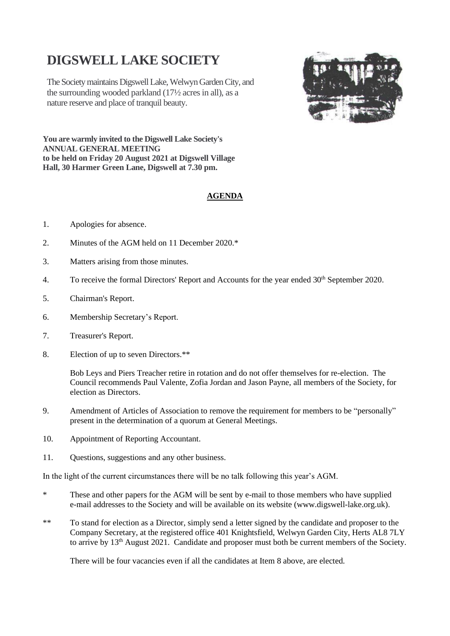# **DIGSWELL LAKE SOCIETY**

The Society maintains Digswell Lake, Welwyn Garden City, and the surrounding wooded parkland (17½ acres in all), as a nature reserve and place of tranquil beauty.



**You are warmly invited to the Digswell Lake Society's ANNUAL GENERAL MEETING to be held on Friday 20 August 2021 at Digswell Village Hall, 30 Harmer Green Lane, Digswell at 7.30 pm.**

# **AGENDA**

- 1. Apologies for absence.
- 2. Minutes of the AGM held on 11 December 2020.\*
- 3. Matters arising from those minutes.
- 4. To receive the formal Directors' Report and Accounts for the year ended 30<sup>th</sup> September 2020.
- 5. Chairman's Report.
- 6. Membership Secretary's Report.
- 7. Treasurer's Report.
- 8. Election of up to seven Directors.\*\*

Bob Leys and Piers Treacher retire in rotation and do not offer themselves for re-election. The Council recommends Paul Valente, Zofia Jordan and Jason Payne, all members of the Society, for election as Directors.

- 9. Amendment of Articles of Association to remove the requirement for members to be "personally" present in the determination of a quorum at General Meetings.
- 10. Appointment of Reporting Accountant.
- 11. Questions, suggestions and any other business.

In the light of the current circumstances there will be no talk following this year's AGM.

- \* These and other papers for the AGM will be sent by e-mail to those members who have supplied e-mail addresses to the Society and will be available on its website (www.digswell-lake.org.uk).
- \*\* To stand for election as a Director, simply send a letter signed by the candidate and proposer to the Company Secretary, at the registered office 401 Knightsfield, Welwyn Garden City, Herts AL8 7LY to arrive by 13<sup>th</sup> August 2021. Candidate and proposer must both be current members of the Society.

There will be four vacancies even if all the candidates at Item 8 above, are elected.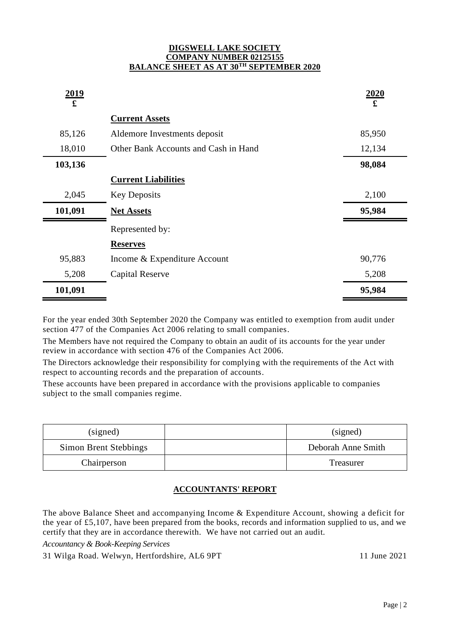#### **DIGSWELL LAKE SOCIETY COMPANY NUMBER 02125155 BALANCE SHEET AS AT 30TH SEPTEMBER 2020**

| 2019<br>$\mathbf f$ |                                      | 2020<br>£ |
|---------------------|--------------------------------------|-----------|
|                     | <b>Current Assets</b>                |           |
| 85,126              | Aldemore Investments deposit         | 85,950    |
| 18,010              | Other Bank Accounts and Cash in Hand | 12,134    |
| 103,136             |                                      | 98,084    |
|                     | <b>Current Liabilities</b>           |           |
| 2,045               | <b>Key Deposits</b>                  | 2,100     |
| 101,091             | <b>Net Assets</b>                    | 95,984    |
|                     | Represented by:                      |           |
|                     | <b>Reserves</b>                      |           |
| 95,883              | Income & Expenditure Account         | 90,776    |
| 5,208               | <b>Capital Reserve</b>               | 5,208     |
| 101,091             |                                      | 95,984    |

For the year ended 30th September 2020 the Company was entitled to exemption from audit under section 477 of the Companies Act 2006 relating to small companies.

The Members have not required the Company to obtain an audit of its accounts for the year under review in accordance with section 476 of the Companies Act 2006.

The Directors acknowledge their responsibility for complying with the requirements of the Act with respect to accounting records and the preparation of accounts.

These accounts have been prepared in accordance with the provisions applicable to companies subject to the small companies regime.

| (signed)              | (signed)           |
|-----------------------|--------------------|
| Simon Brent Stebbings | Deborah Anne Smith |
| Chairperson           | Treasurer          |

# **ACCOUNTANTS' REPORT**

The above Balance Sheet and accompanying Income & Expenditure Account, showing a deficit for the year of £5,107, have been prepared from the books, records and information supplied to us, and we certify that they are in accordance therewith. We have not carried out an audit.

*Accountancy & Book-Keeping Services*

31 Wilga Road. Welwyn, Hertfordshire, AL6 9PT 11 June 2021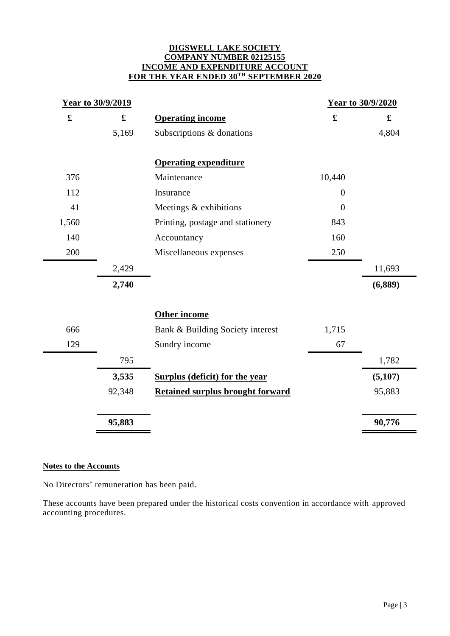#### **DIGSWELL LAKE SOCIETY COMPANY NUMBER 02125155 INCOME AND EXPENDITURE ACCOUNT FOR THE YEAR ENDED 30TH SEPTEMBER 2020**

| Year to 30/9/2019 |                                         | Year to 30/9/2020 |                      |
|-------------------|-----------------------------------------|-------------------|----------------------|
|                   | <b>Operating income</b>                 | $\mathbf f$       | $\pmb{\mathfrak{L}}$ |
| 5,169             | Subscriptions & donations               |                   | 4,804                |
|                   | <b>Operating expenditure</b>            |                   |                      |
|                   | Maintenance                             | 10,440            |                      |
|                   | Insurance                               | $\overline{0}$    |                      |
|                   | Meetings & exhibitions                  | $\overline{0}$    |                      |
|                   | Printing, postage and stationery        | 843               |                      |
|                   | Accountancy                             | 160               |                      |
|                   | Miscellaneous expenses                  | 250               |                      |
| 2,429             |                                         |                   | 11,693               |
| 2,740             |                                         |                   | (6,889)              |
|                   | Other income                            |                   |                      |
|                   | Bank & Building Society interest        | 1,715             |                      |
|                   | Sundry income                           | 67                |                      |
| 795               |                                         |                   | 1,782                |
| 3,535             | <b>Surplus (deficit) for the year</b>   |                   | (5,107)              |
| 92,348            | <b>Retained surplus brought forward</b> |                   | 95,883               |
| 95,883            |                                         |                   | 90,776               |
|                   |                                         |                   |                      |

# **Notes to the Accounts**

No Directors' remuneration has been paid.

These accounts have been prepared under the historical costs convention in accordance with approved accounting procedures.